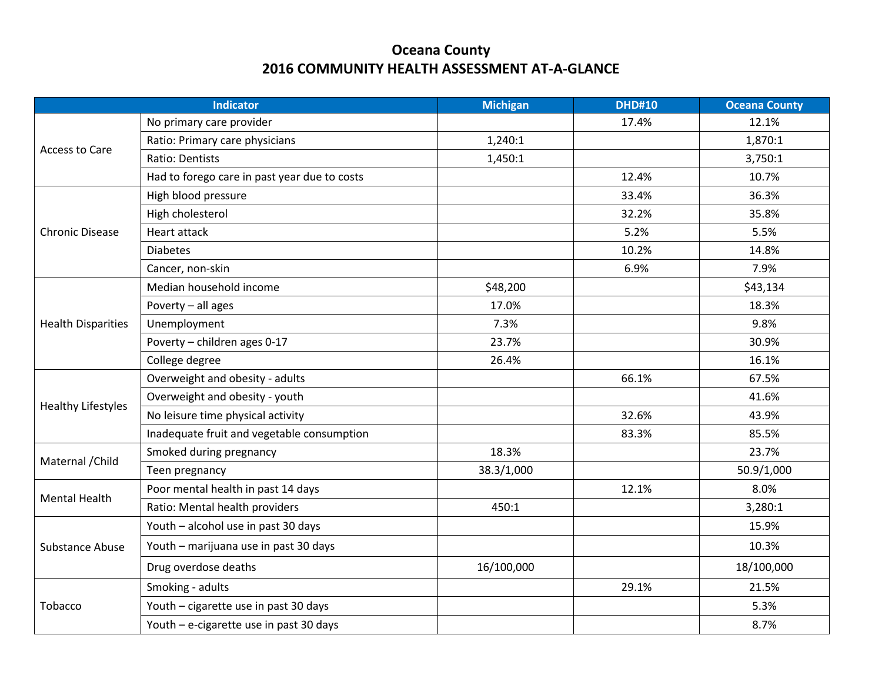## **Oceana County 2016 COMMUNITY HEALTH ASSESSMENT AT-A-GLANCE**

| <b>Indicator</b>          |                                              | <b>Michigan</b> | <b>DHD#10</b> | <b>Oceana County</b> |
|---------------------------|----------------------------------------------|-----------------|---------------|----------------------|
| Access to Care            | No primary care provider                     |                 | 17.4%         | 12.1%                |
|                           | Ratio: Primary care physicians               | 1,240:1         |               | 1,870:1              |
|                           | <b>Ratio: Dentists</b>                       | 1,450:1         |               | 3,750:1              |
|                           | Had to forego care in past year due to costs |                 | 12.4%         | 10.7%                |
|                           | High blood pressure                          |                 | 33.4%         | 36.3%                |
|                           | High cholesterol                             |                 | 32.2%         | 35.8%                |
| <b>Chronic Disease</b>    | Heart attack                                 |                 | 5.2%          | 5.5%                 |
|                           | <b>Diabetes</b>                              |                 | 10.2%         | 14.8%                |
|                           | Cancer, non-skin                             |                 | 6.9%          | 7.9%                 |
|                           | Median household income                      | \$48,200        |               | \$43,134             |
|                           | Poverty - all ages                           | 17.0%           |               | 18.3%                |
| <b>Health Disparities</b> | Unemployment                                 | 7.3%            |               | 9.8%                 |
|                           | Poverty - children ages 0-17                 | 23.7%           |               | 30.9%                |
|                           | College degree                               | 26.4%           |               | 16.1%                |
|                           | Overweight and obesity - adults              |                 | 66.1%         | 67.5%                |
| <b>Healthy Lifestyles</b> | Overweight and obesity - youth               |                 |               | 41.6%                |
|                           | No leisure time physical activity            |                 | 32.6%         | 43.9%                |
|                           | Inadequate fruit and vegetable consumption   |                 | 83.3%         | 85.5%                |
| Maternal / Child          | Smoked during pregnancy                      | 18.3%           |               | 23.7%                |
|                           | Teen pregnancy                               | 38.3/1,000      |               | 50.9/1,000           |
| <b>Mental Health</b>      | Poor mental health in past 14 days           |                 | 12.1%         | 8.0%                 |
|                           | Ratio: Mental health providers               | 450:1           |               | 3,280:1              |
| Substance Abuse           | Youth - alcohol use in past 30 days          |                 |               | 15.9%                |
|                           | Youth - marijuana use in past 30 days        |                 |               | 10.3%                |
|                           | Drug overdose deaths                         | 16/100,000      |               | 18/100,000           |
| Tobacco                   | Smoking - adults                             |                 | 29.1%         | 21.5%                |
|                           | Youth - cigarette use in past 30 days        |                 |               | 5.3%                 |
|                           | Youth - e-cigarette use in past 30 days      |                 |               | 8.7%                 |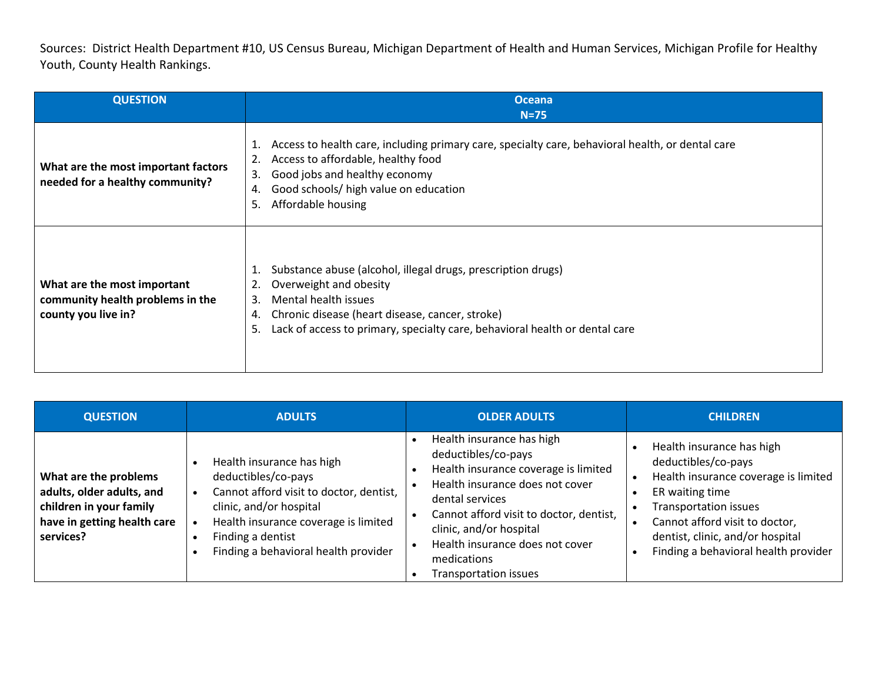Sources: District Health Department #10, US Census Bureau, Michigan Department of Health and Human Services, Michigan Profile for Healthy Youth, County Health Rankings.

| <b>QUESTION</b>                                                                        | <b>Oceana</b><br>$N=75$                                                                                                                                                                                                                                                        |
|----------------------------------------------------------------------------------------|--------------------------------------------------------------------------------------------------------------------------------------------------------------------------------------------------------------------------------------------------------------------------------|
| What are the most important factors<br>needed for a healthy community?                 | Access to health care, including primary care, specialty care, behavioral health, or dental care<br>1.<br>Access to affordable, healthy food<br>2.<br>Good jobs and healthy economy<br>3.<br>Good schools/ high value on education<br>4.<br>Affordable housing<br>5.           |
| What are the most important<br>community health problems in the<br>county you live in? | Substance abuse (alcohol, illegal drugs, prescription drugs)<br>1.<br>Overweight and obesity<br>2.<br>Mental health issues<br>3.<br>Chronic disease (heart disease, cancer, stroke)<br>4.<br>Lack of access to primary, specialty care, behavioral health or dental care<br>5. |

| <b>QUESTION</b>                                                                                                           | <b>ADULTS</b>                                                                                                                                                                                                               | <b>OLDER ADULTS</b>                                                                                                                                                                                                                                                                                    | <b>CHILDREN</b>                                                                                                                                                                                                                                           |
|---------------------------------------------------------------------------------------------------------------------------|-----------------------------------------------------------------------------------------------------------------------------------------------------------------------------------------------------------------------------|--------------------------------------------------------------------------------------------------------------------------------------------------------------------------------------------------------------------------------------------------------------------------------------------------------|-----------------------------------------------------------------------------------------------------------------------------------------------------------------------------------------------------------------------------------------------------------|
| What are the problems<br>adults, older adults, and<br>children in your family<br>have in getting health care<br>services? | Health insurance has high<br>deductibles/co-pays<br>Cannot afford visit to doctor, dentist,<br>clinic, and/or hospital<br>Health insurance coverage is limited<br>Finding a dentist<br>Finding a behavioral health provider | Health insurance has high<br>deductibles/co-pays<br>Health insurance coverage is limited<br>Health insurance does not cover<br>dental services<br>Cannot afford visit to doctor, dentist,<br>clinic, and/or hospital<br>Health insurance does not cover<br>medications<br><b>Transportation issues</b> | Health insurance has high<br>deductibles/co-pays<br>Health insurance coverage is limited<br>ER waiting time<br><b>Transportation issues</b><br>Cannot afford visit to doctor,<br>dentist, clinic, and/or hospital<br>Finding a behavioral health provider |